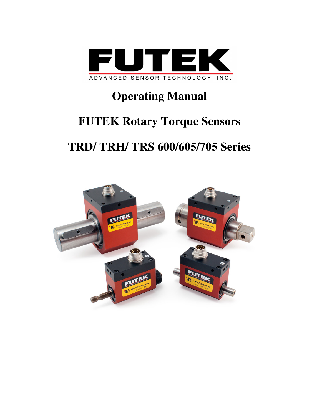

# **Operating Manual**

# **FUTEK Rotary Torque Sensors**

# **TRD/ TRH/ TRS 600/605/705 Series**

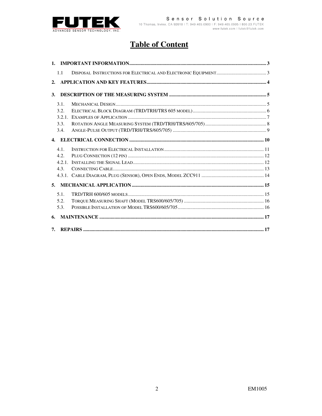

# **Table of Content**

|              | 1.1   |  |
|--------------|-------|--|
| 2.           |       |  |
| <b>3.</b>    |       |  |
|              | 3.1.  |  |
|              | 3.2.  |  |
|              | 3.2.1 |  |
|              | 3.3.  |  |
|              | 3.4.  |  |
| $\mathbf{4}$ |       |  |
|              | 4.1.  |  |
|              | 4.2.  |  |
|              | 4 2 1 |  |
|              | 4.3.  |  |
|              |       |  |
| 5.           |       |  |
|              | 5.1.  |  |
|              | 5.2.  |  |
|              | 5.3.  |  |
| 6.           |       |  |
| 7.           |       |  |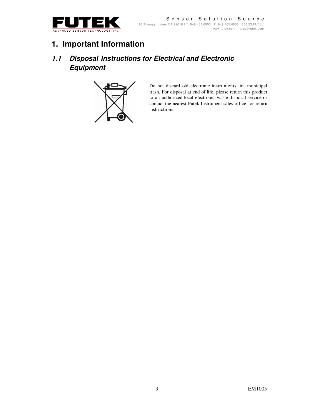

#### Sensor Solution Source 10 Thomas, Irvine, CA 92618 | T: 949.465.0900 | F: 949.465.0905 | 800.23. FUTEK www.futek.com | futek@futek.com

# **1. Important Information**

### **1.1 Disposal Instructions for Electrical and Electronic Equipment**



Do not discard old electronic instruments in municipal trash. For disposal at end of life, please return this product to an authorized local electronic waste disposal service or contact the nearest Futek Instrument sales office for return instructions.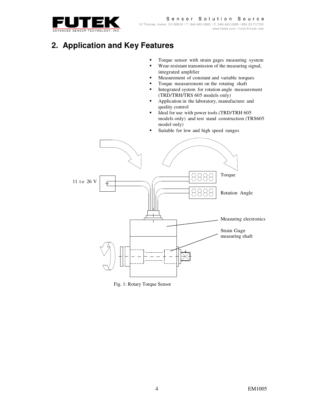

# **2. Application and Key Features**

- **Torque sensor with strain gages measuring system**
- Wear-resistant transmission of the measuring signal, integrated amplifier
- Measurement of constant and variable torques
- Torque measurement on the rotating shaft<br>Integrated system for rotation angle measure
- Integrated system for rotation angle measurement (TRD/TRH/TRS 605 models only)
- Application in the laboratory, manufacture and quality control
- Ideal for use with power tools (TRD/TRH 605 models only) and test stand construction (TRS605 model only)
- Suitable for low and high speed ranges



Fig. 1: Rotary Torque Sensor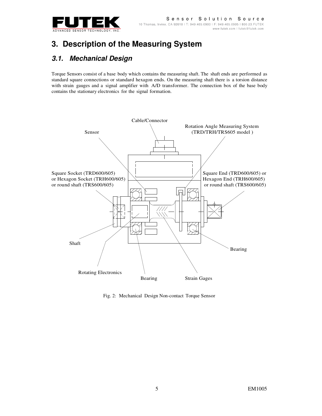

# **3. Description of the Measuring System**

#### **3.1. Mechanical Design**

Torque Sensors consist of a base body which contains the measuring shaft. The shaft ends are performed as standard square connections or standard hexagon ends. On the measuring shaft there is a torsion distance with strain gauges and a signal amplifier with A/D transformer. The connection box of the base body contains the stationary electronics for the signal formation.



Fig. 2: Mechanical Design Non-contact Torque Sensor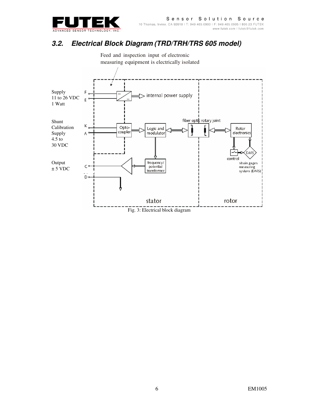

## **3.2. Electrical Block Diagram (TRD/TRH/TRS 605 model)**

 Feed and inspection input of electronic measuring equipment is electrically isolated

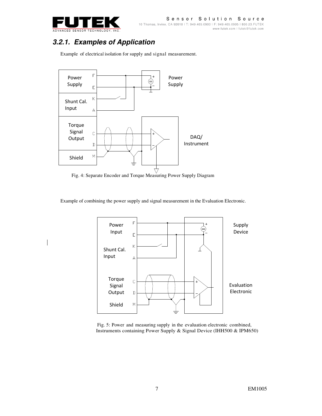

## **3.2.1. Examples of Application**

Example of electrical isolation for supply and signal measurement.



Fig. 4: Separate Encoder and Torque Measuring Power Supply Diagram

Example of combining the power supply and signal measurement in the Evaluation Electronic.



 Fig. 5: Power and measuring supply in the evaluation electronic combined, Instruments containing Power Supply & Signal Device (IHH500 & IPM650)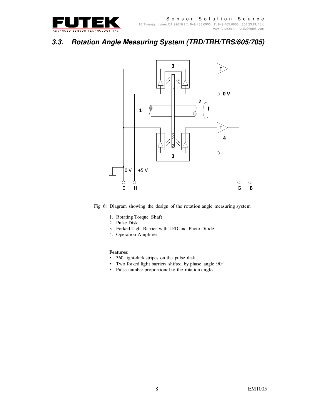

### **3.3. Rotation Angle Measuring System (TRD/TRH/TRS/605/705)**



Fig. 6: Diagram showing the design of the rotation angle measuring system

- 1. Rotating Torque Shaft
- 2. Pulse Disk
- 3. Forked Light Barrier with LED and Photo Diode
- 4. Operation Amplifier

#### **Features:**

- 360 light-dark stripes on the pulse disk
- Two forked light barriers shifted by phase angle  $90^\circ$ <br>Pulse number proportional to the rotation angle
- Pulse number proportional to the rotation angle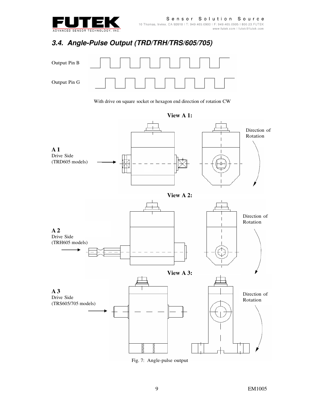

## **3.4. Angle-Pulse Output (TRD/TRH/TRS/605/705)**



With drive on square socket or hexagon end direction of rotation CW



**View A 1:** 

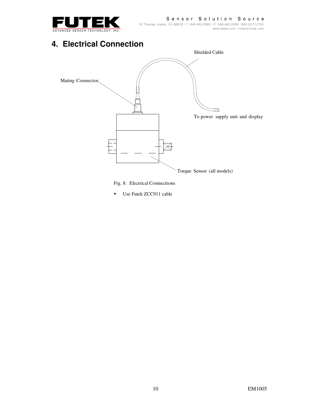

Sensor Solution Source 10 Thomas, Irvine, CA 92618 | T: 949.465.0900 | F: 949.465.0905 | 800.23.FUTEK www.futek.com | futek@futek.com

# **4. Electrical Connection**



Fig. 8: Electrical Connections

Use Futek ZCC911 cable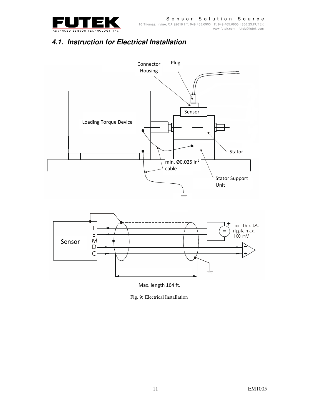

### **4.1. Instruction for Electrical Installation**





Max. length 164 ft.

Fig. 9: Electrical Installation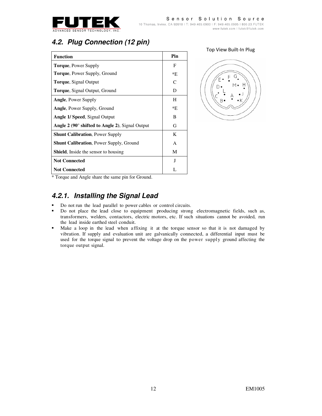

# **4.2. Plug Connection (12 pin)**

| <b>Function</b>                                       | Pin |
|-------------------------------------------------------|-----|
| <b>Torque, Power Supply</b>                           | F   |
| <b>Torque, Power Supply, Ground</b>                   | *F. |
| <b>Torque, Signal Output</b>                          | C   |
| <b>Torque, Signal Output, Ground</b>                  | D   |
| <b>Angle, Power Supply</b>                            | H   |
| <b>Angle, Power Supply, Ground</b>                    | *E  |
| <b>Angle 1/ Speed, Signal Output</b>                  | B   |
| Angle $2(90^\circ$ shifted to Angle 2), Signal Output | G   |
| <b>Shunt Calibration, Power Supply</b>                | K   |
| <b>Shunt Calibration, Power Supply, Ground</b>        | A   |
| <b>Shield</b> , Inside the sensor to housing          | М   |
| <b>Not Connected</b>                                  | J   |
| <b>Not Connected</b>                                  | L   |

Top View Built-In Plug



\* Torque and Angle share the same pin for Ground.

#### **4.2.1. Installing the Signal Lead**

- Do not run the lead parallel to power cables or control circuits.
- Do not place the lead close to equipment producing strong electromagnetic fields, such as, transformers, welders, contactors, electric motors, etc. If such situations cannot be avoided, run the lead inside earthed steel conduit.
- Make a loop in the lead when affixing it at the torque sensor so that it is not damaged by vibration. If supply and evaluation unit are galvanically connected, a differential input must be used for the torque signal to prevent the voltage drop on the power supply ground affecting the torque output signal.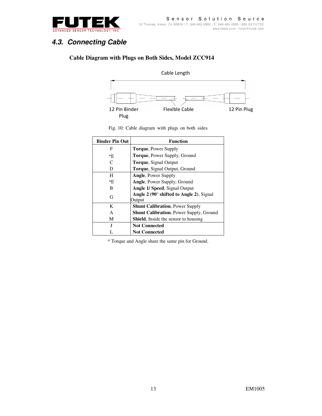

### **4.3. Connecting Cable**

#### **Cable Diagram with Plugs on Both Sides, Model ZCC914**



|  | Fig. 10: Cable diagram with plugs on both sides |  |  |  |
|--|-------------------------------------------------|--|--|--|
|  |                                                 |  |  |  |

| <b>Binder Pin Out</b> | <b>Function</b>                                                   |
|-----------------------|-------------------------------------------------------------------|
| F                     | <b>Torque, Power Supply</b>                                       |
| *E                    | <b>Torque, Power Supply, Ground</b>                               |
| C                     | <b>Torque, Signal Output</b>                                      |
| D                     | <b>Torque, Signal Output, Ground</b>                              |
| H                     | <b>Angle, Power Supply</b>                                        |
| *E                    | <b>Angle, Power Supply, Ground</b>                                |
| В                     | Angle 1/ Speed, Signal Output                                     |
| G                     | Angle $2(90^\circ \text{ shifted to Angle 2})$ , Signal<br>Output |
| K                     | <b>Shunt Calibration, Power Supply</b>                            |
| A                     | <b>Shunt Calibration, Power Supply, Ground</b>                    |
| M                     | <b>Shield.</b> Inside the sensor to housing                       |
| J                     | <b>Not Connected</b>                                              |
|                       | <b>Not Connected</b>                                              |

\* Torque and Angle share the same pin for Ground.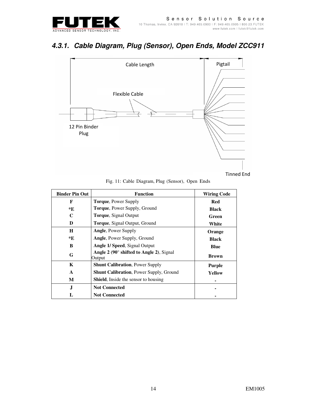

## **4.3.1. Cable Diagram, Plug (Sensor), Open Ends, Model ZCC911**



Fig. 11: Cable Diagram, Plug (Sensor), Open Ends

| <b>Binder Pin Out</b> | <b>Function</b>                                    | <b>Wiring Code</b> |
|-----------------------|----------------------------------------------------|--------------------|
| F                     | <b>Torque, Power Supply</b>                        | Red                |
| *E                    | Torque, Power Supply, Ground                       | <b>Black</b>       |
| C                     | <b>Torque, Signal Output</b>                       | Green              |
| D                     | <b>Torque, Signal Output, Ground</b>               | White              |
| H                     | <b>Angle, Power Supply</b>                         | Orange             |
| *E                    | Angle, Power Supply, Ground                        | <b>Black</b>       |
| B                     | Angle 1/ Speed, Signal Output                      | <b>Blue</b>        |
| G                     | Angle 2 (90° shifted to Angle 2), Signal<br>Output | <b>Brown</b>       |
| K                     | <b>Shunt Calibration</b> , Power Supply            | <b>Purple</b>      |
| A                     | <b>Shunt Calibration, Power Supply, Ground</b>     | Yellow             |
| М                     | <b>Shield</b> , Inside the sensor to housing       |                    |
| ${\bf J}$             | <b>Not Connected</b>                               |                    |
| L                     | <b>Not Connected</b>                               |                    |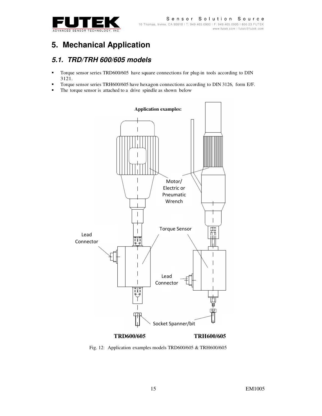

# **5. Mechanical Application**

#### **5.1. TRD/TRH 600/605 models**

- Torque sensor series TRD600/605 have square connections for plug-in tools according to DIN 3121.
- Torque sensor series TRH600/605 have hexagon connections according to DIN 3126, form E/F.
- The torque sensor is attached to a drive spindle as shown below



Fig. 12: Application examples models TRD600/605 & TRH600/605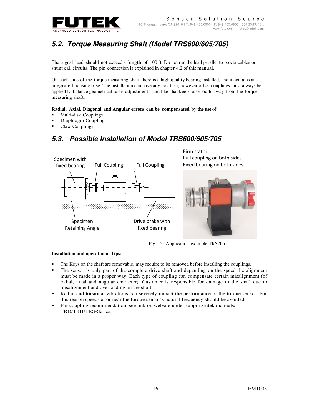

# **5.2. Torque Measuring Shaft (Model TRS600/605/705)**

The signal lead should not exceed a length of 100 ft. Do not run the lead parallel to power cables or shunt cal. circuits. The pin connection is explained in chapter 4.2 of this manual.

On each side of the torque measuring shaft there is a high quality bearing installed, and it contains an integrated housing base. The installation can have any position, however offset couplings must always be applied to balance geometrical false adjustments and like that keep false loads away from the torque measuring shaft.

#### **Radial, Axial, Diagonal and Angular errors can be compensated by the use of:**

- Multi-disk Couplings
- Diaphragm Coupling
- Claw Couplings

#### **5.3. Possible Installation of Model TRS600/605/705**



Fig. 13: Application example TRS705

#### **Installation and operational Tips:**

- The Keys on the shaft are removable, may require to be removed before installing the couplings.
- The sensor is only part of the complete drive shaft and depending on the speed the alignment must be made in a proper way. Each type of coupling can compensate certain misalignment (of radial, axial and angular character). Customer is responsible for damage to the shaft due to misalignment and overloading on the shaft.
- Radial and torsional vibrations can severely impact the performance of the torque sensor. For this reason speeds at or near the torque sensor's natural frequency should be avoided.
- For coupling recommendation, see link on website under support/futek manuals/ TRD/TRH/TRS-Series.